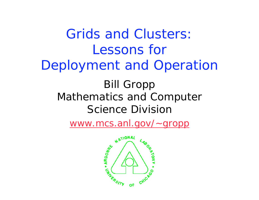Grids and Clusters: Lessons for Deployment and Operation Bill Gropp Mathematics and Computer Science Division

www.mcs.anl.gov/~gropp

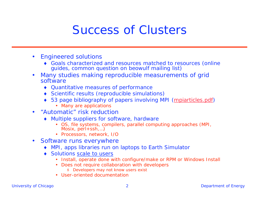#### Success of Clusters

- $\bullet$  Engineered solutions
	- Goals characterized and resources matched to resources (online guides, common question on beowulf mailing list)
- • Many studies making reproducible measurements of grid software
	- Quantitative measures of performance
	- Scientific results (reproducible simulations)
	- 53 page bibliography of papers involving MPI (mpiarticles.pdf)
		- Many are applications
- • "Automatic" risk reduction
	- Multiple suppliers for software, hardware
		- OS, file systems, compilers, parallel computing approaches (MPI, Mosix, perl+ssh,…)
		- Processors, network, I/O
- $\bullet$  Software runs everywhere
	- MPI, apps libraries run on laptops to Earth Simulator
	- Solutions *scale to users*
		- Install, operate done with configure/make or RPM or Windows Install
		- Does not require collaboration with developers
			- 8 Developers may not know users exist
		- User-oriented documentation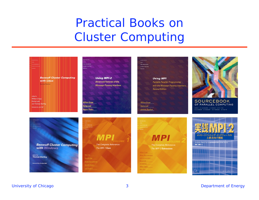#### Practical Books on Cluster Computing

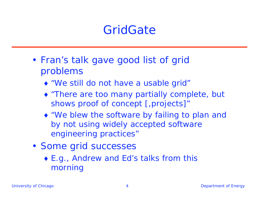#### **GridGate**

- Fran's talk gave good list of grid problems
	- "We still do not have a usable grid"
	- "There are too many partially complete, but shows proof of concept [,projects]"
	- "We blew the software by failing to plan and by not using widely accepted software engineering practices"
- Some grid successes
	- ◆ E.g., Andrew and Ed's talks from this morning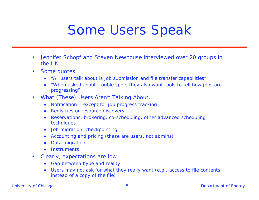### Some Users Speak

- $\bullet$  Jennifer Schopf and Steven Newhouse interviewed over 20 groups in the UK
- $\bullet$  Some quotes:
	- "All users talk about is job submission and file transfer capabilities"
	- "When asked about trouble spots they also want tools to tell how jobs are progressing"
- $\bullet$  What (These) Users Aren't Talking About…
	- $\bullet$  Notification except for job progress tracking
	- ◆ Registries or resource discovery
	- Reservations, brokering, co-scheduling, other advanced scheduling techniques
	- ◆ Job migration, checkpointing
	- Accounting and pricing (these are users, not admins)
	- Data migration
	- ◆ Instruments
- $\bullet$  Clearly, expectations are low
	- ◆ Gap between hype and reality
	- Users may not ask for what they really want (e.g., access to file contents instead of a copy of the file)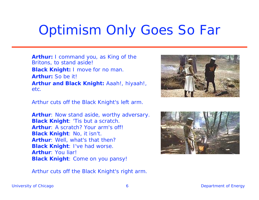# Optimism Only Goes So Far

**Arthur:** I command you, as King of the Britons, to stand aside! **Black Knight:** I move for no man. **Arthur:** So be it! **Arthur and Black Knight:** Aaah!, hiyaah!, etc.

Arthur cuts off the Black Knight's left arm.

**Arthur**: Now stand aside, worthy adversary. **Black Knight**: 'Tis but a scratch. **Arthur**: A scratch? Your arm's off! **Black Knight**: No, it isn't. **Arthur**: Well, what's that then? **Black Knight**: I've had worse. **Arthur**: You liar! **Black Knight**: Come on you pansy!

Arthur cuts off the Black Knight's right arm.



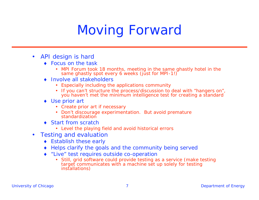# Moving Forward

- $\bullet$  API design is *hard*
	- ◆ Focus on the task
		- MPI Forum took 18 months, meeting in the same ghastly hotel in the same ghastly spot every 6 weeks (just for MPI-1!)
	- Involve all stakeholders
		- Especially including the applications community
		- If you can't structure the process/discussion to deal with "hangers on", you haven't met the minimum intelligence test for creating a standard
	- ◆ Use prior art
		- Create prior art if necessary
		- Don't discourage experimentation. But avoid premature standardization
	- Start from scratch
		- Level the playing field and avoid historical errors
- $\bullet$  Testing and evaluation
	- ◆ Establish these early
	- ◆ Helps clarify the goals and the community being served
	- "Live" test requires outside co-operation
		- • Still, grid software could provide testing as a service (make testing target communicates with a machine set up solely for testing installations)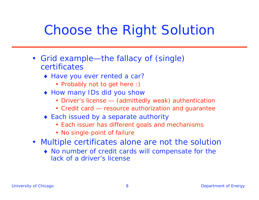## Choose the Right Solution

- Grid example—the fallacy of (single) certificates
	- Have you ever rented a car?
		- Probably not to get here :)
	- ◆ How many IDs did you show
		- Driver's license (admittedly weak) authentication
		- Credit card resource authorization and guarantee
	- ◆ Each issued by a separate authority
		- Each issuer has different goals and mechanisms
		- No single-point of failure
- Multiple certificates alone are not the solution
	- No number of credit cards will compensate for the lack of a driver's license